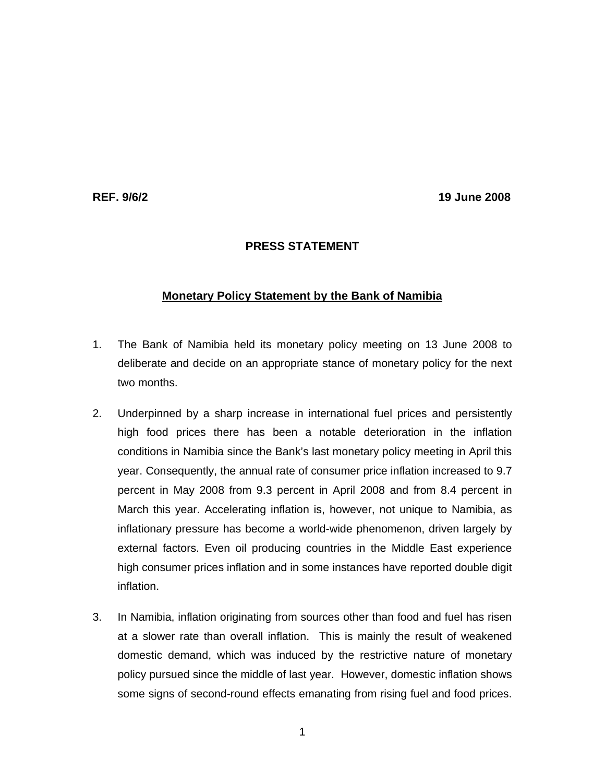**REF. 9/6/2 19 June 2008** 

## **PRESS STATEMENT**

## **Monetary Policy Statement by the Bank of Namibia**

- 1. The Bank of Namibia held its monetary policy meeting on 13 June 2008 to deliberate and decide on an appropriate stance of monetary policy for the next two months.
- 2. Underpinned by a sharp increase in international fuel prices and persistently high food prices there has been a notable deterioration in the inflation conditions in Namibia since the Bank's last monetary policy meeting in April this year. Consequently, the annual rate of consumer price inflation increased to 9.7 percent in May 2008 from 9.3 percent in April 2008 and from 8.4 percent in March this year. Accelerating inflation is, however, not unique to Namibia, as inflationary pressure has become a world-wide phenomenon, driven largely by external factors. Even oil producing countries in the Middle East experience high consumer prices inflation and in some instances have reported double digit inflation.
- 3. In Namibia, inflation originating from sources other than food and fuel has risen at a slower rate than overall inflation. This is mainly the result of weakened domestic demand, which was induced by the restrictive nature of monetary policy pursued since the middle of last year. However, domestic inflation shows some signs of second-round effects emanating from rising fuel and food prices.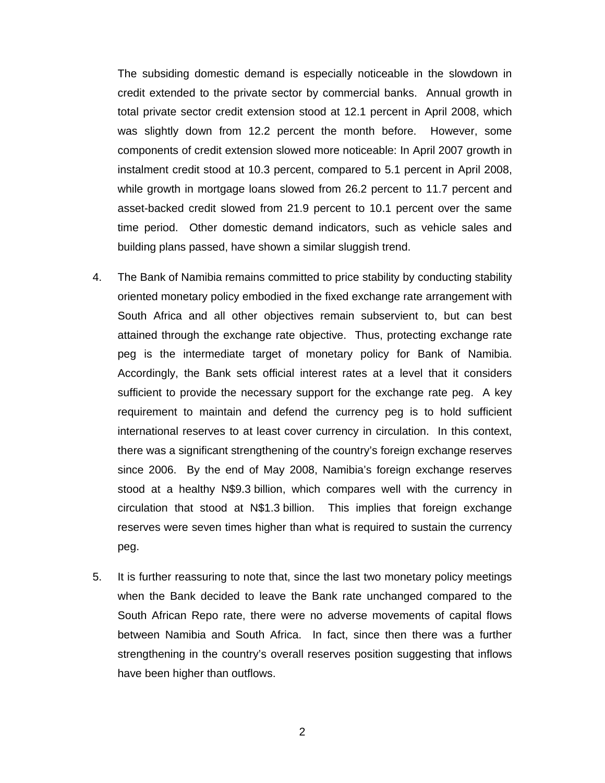The subsiding domestic demand is especially noticeable in the slowdown in credit extended to the private sector by commercial banks. Annual growth in total private sector credit extension stood at 12.1 percent in April 2008, which was slightly down from 12.2 percent the month before. However, some components of credit extension slowed more noticeable: In April 2007 growth in instalment credit stood at 10.3 percent, compared to 5.1 percent in April 2008, while growth in mortgage loans slowed from 26.2 percent to 11.7 percent and asset-backed credit slowed from 21.9 percent to 10.1 percent over the same time period. Other domestic demand indicators, such as vehicle sales and building plans passed, have shown a similar sluggish trend.

- 4. The Bank of Namibia remains committed to price stability by conducting stability oriented monetary policy embodied in the fixed exchange rate arrangement with South Africa and all other objectives remain subservient to, but can best attained through the exchange rate objective. Thus, protecting exchange rate peg is the intermediate target of monetary policy for Bank of Namibia. Accordingly, the Bank sets official interest rates at a level that it considers sufficient to provide the necessary support for the exchange rate peg. A key requirement to maintain and defend the currency peg is to hold sufficient international reserves to at least cover currency in circulation. In this context, there was a significant strengthening of the country's foreign exchange reserves since 2006. By the end of May 2008, Namibia's foreign exchange reserves stood at a healthy N\$9.3 billion, which compares well with the currency in circulation that stood at N\$1.3 billion. This implies that foreign exchange reserves were seven times higher than what is required to sustain the currency peg.
- 5. It is further reassuring to note that, since the last two monetary policy meetings when the Bank decided to leave the Bank rate unchanged compared to the South African Repo rate, there were no adverse movements of capital flows between Namibia and South Africa. In fact, since then there was a further strengthening in the country's overall reserves position suggesting that inflows have been higher than outflows.

2